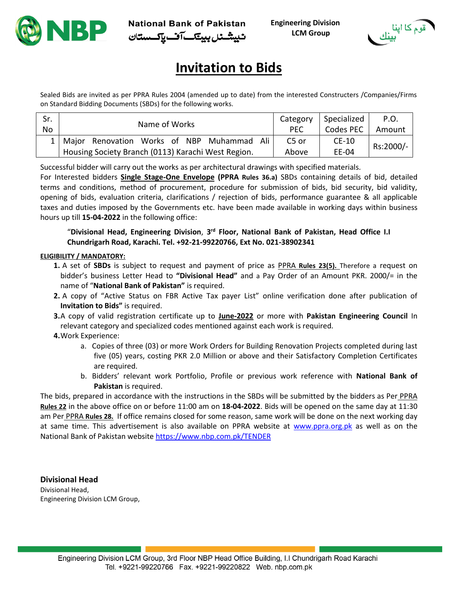



# **Invitation to Bids**

Sealed Bids are invited as per PPRA Rules 2004 (amended up to date) from the interested Constructers /Companies/Firms on Standard Bidding Documents (SBDs) for the following works.

| Sr.<br>No | Name of Works                                         | Category<br><b>PEC</b> | Specialized<br>Codes PEC | P.O.<br>Amount |
|-----------|-------------------------------------------------------|------------------------|--------------------------|----------------|
|           | 1   Major Renovation Works of NBP Muhammad<br>. Ali ' | C <sub>5</sub> or      | $CE-10$                  | Rs:2000/-      |
|           | Housing Society Branch (0113) Karachi West Region.    | Above                  | EE-04                    |                |

Successful bidder will carry out the works as per architectural drawings with specified materials.

For Interested bidders **Single Stage-One Envelope (PPRA Rules 36.a)** SBDs containing details of bid, detailed terms and conditions, method of procurement, procedure for submission of bids, bid security, bid validity, opening of bids, evaluation criteria, clarifications / rejection of bids, performance guarantee & all applicable taxes and duties imposed by the Governments etc. have been made available in working days within business hours up till **15-04-2022** in the following office:

"**Divisional Head, Engineering Division**, **3 rd Floor, National Bank of Pakistan, Head Office I.I Chundrigarh Road, Karachi. Tel. +92-21-99220766, Ext No. 021-38902341**

#### **ELIGIBILITY / MANDATORY:**

- **1.** A set of **SBDs** is subject to request and payment of price as PPRA **Rules 23(5).** Therefore a request on bidder's business Letter Head to **"Divisional Head"** and a Pay Order of an Amount PKR. 2000/= in the name of "**National Bank of Pakistan"** is required.
- **2.** A copy of "Active Status on FBR Active Tax payer List" online verification done after publication of **Invitation to Bids"** is required.
- **3.**A copy of valid registration certificate up to **June-2022** or more with **Pakistan Engineering Council** In relevant category and specialized codes mentioned against each work is required.
- **4.**Work Experience:
	- a. Copies of three (03) or more Work Orders for Building Renovation Projects completed during last five (05) years, costing PKR 2.0 Million or above and their Satisfactory Completion Certificates are required.
	- b. Bidders' relevant work Portfolio, Profile or previous work reference with **National Bank of Pakistan** is required.

The bids, prepared in accordance with the instructions in the SBDs will be submitted by the bidders as Per PPRA **Rules 22** in the above office on or before 11:00 am on **18-04-2022**. Bids will be opened on the same day at 11:30 am Per PPRA **Rules 28.** If office remains closed for some reason, same work will be done on the next working day at same time. This advertisement is also available on PPRA website at [www.ppra.org.pk](http://www.ppra.org.pk/) as well as on the National Bank of Pakistan website<https://www.nbp.com.pk/TENDER>

**Divisional Head** Divisional Head, Engineering Division LCM Group,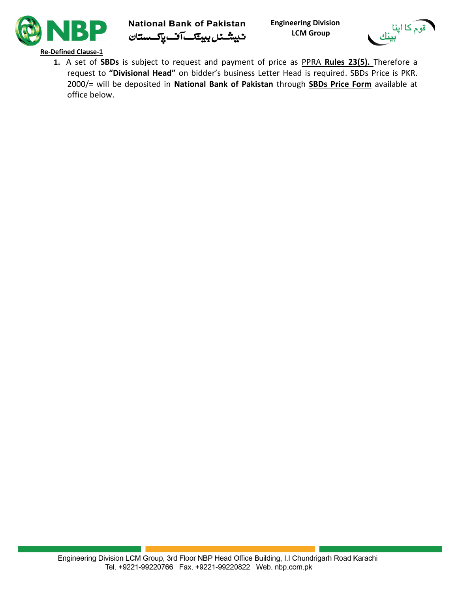

**National Bank of Pakistan Engineering Division** ئىيىشى*نل بىيتكى آف پاكىستان* 

 **LCM Group**



**Re-Defined Clause-1**

**1.** A set of **SBDs** is subject to request and payment of price as PPRA **Rules 23(5).** Therefore a request to **"Divisional Head"** on bidder's business Letter Head is required. SBDs Price is PKR. 2000/= will be deposited in **National Bank of Pakistan** through **SBDs Price Form** available at office below.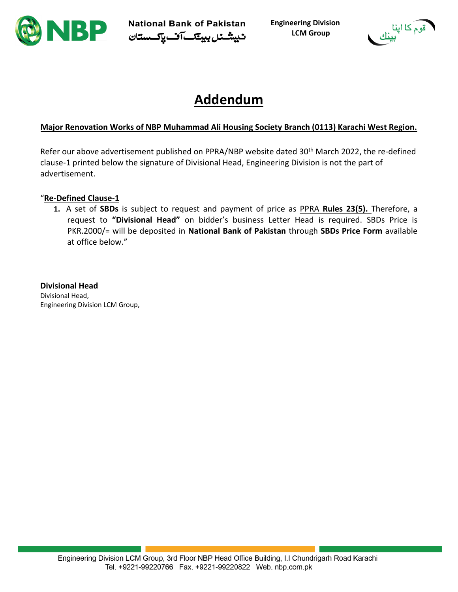

National Bank of Pakistan Engineering Division<br>ٹیپششن*ل ب*ینک آف پاکستان LCM Group

 **LCM Group**



# **Addendum**

## **Major Renovation Works of NBP Muhammad Ali Housing Society Branch (0113) Karachi West Region.**

Refer our above advertisement published on PPRA/NBP website dated 30<sup>th</sup> March 2022, the re-defined clause-1 printed below the signature of Divisional Head, Engineering Division is not the part of advertisement.

### "**Re-Defined Clause-1**

**1.** A set of **SBDs** is subject to request and payment of price as PPRA **Rules 23(5).** Therefore, a request to **"Divisional Head"** on bidder's business Letter Head is required. SBDs Price is PKR.2000/= will be deposited in **National Bank of Pakistan** through **SBDs Price Form** available at office below."

### **Divisional Head**

Divisional Head, Engineering Division LCM Group,